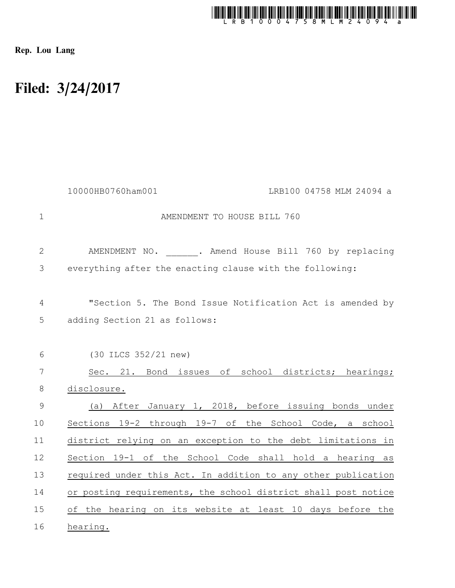

Rep. Lou Lang

## Filed: 3/24/2017

|               | 10000HB0760ham001<br>LRB100 04758 MLM 24094 a                  |
|---------------|----------------------------------------------------------------|
| $\mathbf{1}$  | AMENDMENT TO HOUSE BILL 760                                    |
| $\mathbf{2}$  | . Amend House Bill 760 by replacing<br>AMENDMENT NO.           |
| $\mathcal{S}$ | everything after the enacting clause with the following:       |
| 4             | "Section 5. The Bond Issue Notification Act is amended by      |
| 5             | adding Section 21 as follows:                                  |
| 6             | (30 ILCS 352/21 new)                                           |
| 7             | Sec. 21. Bond issues of school districts; hearings;            |
| $\,8\,$       | disclosure.                                                    |
| $\mathsf 9$   | After January 1, 2018, before issuing bonds under<br>(a)       |
| 10            | Sections 19-2 through 19-7 of the School Code, a school        |
| 11            | district relying on an exception to the debt limitations in    |
| 12            | Section 19-1 of the School Code shall hold a hearing as        |
| 13            | required under this Act. In addition to any other publication  |
| 14            | or posting requirements, the school district shall post notice |
| 15            | of the hearing on its website at least 10 days before the      |
| 16            | hearing.                                                       |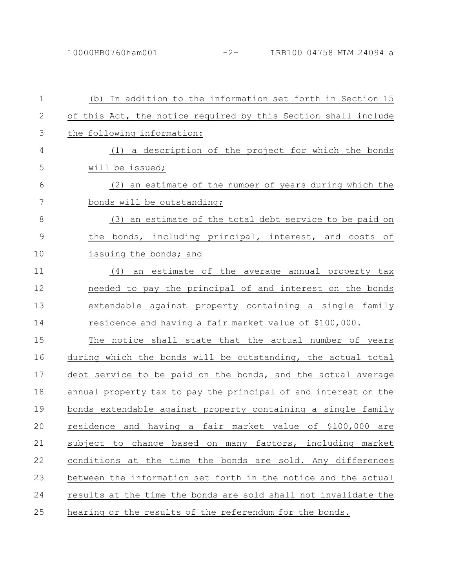| $\mathbf{1}$  | (b) In addition to the information set forth in Section 15                  |
|---------------|-----------------------------------------------------------------------------|
| $\mathbf{2}$  | of this Act, the notice required by this Section shall include              |
| 3             | the following information:                                                  |
| 4             | (1) a description of the project for which the bonds                        |
| 5             | will be issued;                                                             |
| 6             | (2) an estimate of the number of years during which the                     |
| 7             | bonds will be outstanding;                                                  |
| 8             | (3) an estimate of the total debt service to be paid on                     |
| $\mathcal{G}$ | the bonds, including principal, interest, and costs of                      |
| 10            | issuing the bonds; and                                                      |
| 11            | (4) an estimate of the average annual property tax                          |
| 12            | needed to pay the principal of and interest on the bonds                    |
| 13            | extendable against property containing a single family                      |
| 14            | residence and having a fair market value of \$100,000.                      |
| 15            | The notice shall state that the actual number of years                      |
| 16            | during which the bonds will be outstanding, the actual total                |
| 17            | debt service to be paid on the bonds, and the actual average                |
| 18            | annual property tax to pay the principal of and interest on the             |
| 19            | bonds extendable against property containing a single family                |
| 20            | residence<br>and<br>having<br>fair<br>market value of \$100,000<br>а<br>are |
| 21            | subject to change based on many factors, including market                   |
| 22            | conditions at the time the bonds are sold. Any differences                  |
| 23            | between the information set forth in the notice and the actual              |
| 24            | results at the time the bonds are sold shall not invalidate the             |
| 25            | hearing or the results of the referendum for the bonds.                     |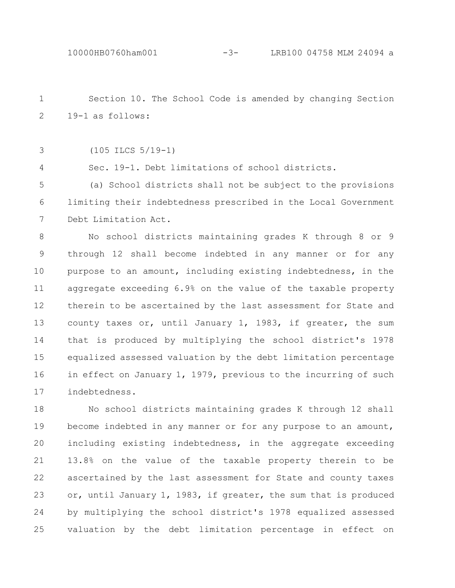Section 10. The School Code is amended by changing Section 19-1 as follows: 1 2

(105 ILCS 5/19-1) 3

4

Sec. 19-1. Debt limitations of school districts.

(a) School districts shall not be subject to the provisions limiting their indebtedness prescribed in the Local Government Debt Limitation Act. 5 6 7

No school districts maintaining grades K through 8 or 9 through 12 shall become indebted in any manner or for any purpose to an amount, including existing indebtedness, in the aggregate exceeding 6.9% on the value of the taxable property therein to be ascertained by the last assessment for State and county taxes or, until January 1, 1983, if greater, the sum that is produced by multiplying the school district's 1978 equalized assessed valuation by the debt limitation percentage in effect on January 1, 1979, previous to the incurring of such indebtedness. 8 9 10 11 12 13 14 15 16 17

No school districts maintaining grades K through 12 shall become indebted in any manner or for any purpose to an amount, including existing indebtedness, in the aggregate exceeding 13.8% on the value of the taxable property therein to be ascertained by the last assessment for State and county taxes or, until January 1, 1983, if greater, the sum that is produced by multiplying the school district's 1978 equalized assessed valuation by the debt limitation percentage in effect on 18 19 20 21 22 23 24 25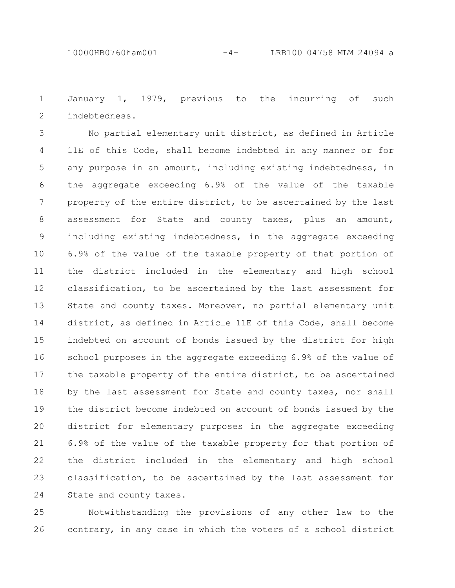January 1, 1979, previous to the incurring of such indebtedness. 1 2

No partial elementary unit district, as defined in Article 11E of this Code, shall become indebted in any manner or for any purpose in an amount, including existing indebtedness, in the aggregate exceeding 6.9% of the value of the taxable property of the entire district, to be ascertained by the last assessment for State and county taxes, plus an amount, including existing indebtedness, in the aggregate exceeding 6.9% of the value of the taxable property of that portion of the district included in the elementary and high school classification, to be ascertained by the last assessment for State and county taxes. Moreover, no partial elementary unit district, as defined in Article 11E of this Code, shall become indebted on account of bonds issued by the district for high school purposes in the aggregate exceeding 6.9% of the value of the taxable property of the entire district, to be ascertained by the last assessment for State and county taxes, nor shall the district become indebted on account of bonds issued by the district for elementary purposes in the aggregate exceeding 6.9% of the value of the taxable property for that portion of the district included in the elementary and high school classification, to be ascertained by the last assessment for State and county taxes. 3 4 5 6 7 8 9 10 11 12 13 14 15 16 17 18 19 20 21 22 23 24

Notwithstanding the provisions of any other law to the contrary, in any case in which the voters of a school district 25 26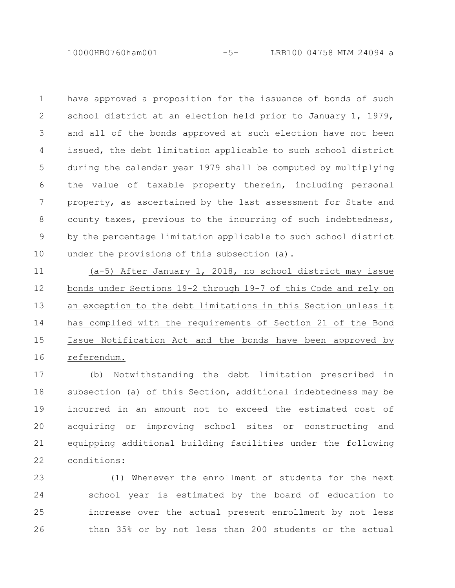10000HB0760ham001 -5- LRB100 04758 MLM 24094 a

have approved a proposition for the issuance of bonds of such school district at an election held prior to January 1, 1979, and all of the bonds approved at such election have not been issued, the debt limitation applicable to such school district during the calendar year 1979 shall be computed by multiplying the value of taxable property therein, including personal property, as ascertained by the last assessment for State and county taxes, previous to the incurring of such indebtedness, by the percentage limitation applicable to such school district under the provisions of this subsection (a). 1 2 3 4 5 6 7 8 9 10

(a-5) After January 1, 2018, no school district may issue bonds under Sections 19-2 through 19-7 of this Code and rely on an exception to the debt limitations in this Section unless it has complied with the requirements of Section 21 of the Bond Issue Notification Act and the bonds have been approved by referendum. 11 12 13 14 15 16

(b) Notwithstanding the debt limitation prescribed in subsection (a) of this Section, additional indebtedness may be incurred in an amount not to exceed the estimated cost of acquiring or improving school sites or constructing and equipping additional building facilities under the following conditions: 17 18 19 20 21 22

(1) Whenever the enrollment of students for the next school year is estimated by the board of education to increase over the actual present enrollment by not less than 35% or by not less than 200 students or the actual 23 24 25 26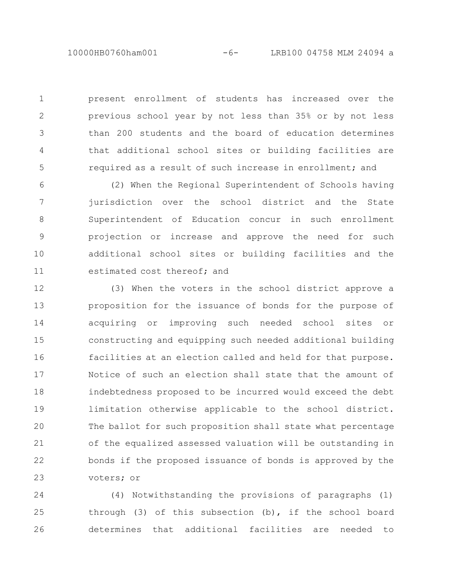present enrollment of students has increased over the previous school year by not less than 35% or by not less than 200 students and the board of education determines that additional school sites or building facilities are required as a result of such increase in enrollment; and 1

2

3

4

5

(2) When the Regional Superintendent of Schools having jurisdiction over the school district and the State Superintendent of Education concur in such enrollment projection or increase and approve the need for such additional school sites or building facilities and the estimated cost thereof; and 6 7 8 9 10 11

(3) When the voters in the school district approve a proposition for the issuance of bonds for the purpose of acquiring or improving such needed school sites or constructing and equipping such needed additional building facilities at an election called and held for that purpose. Notice of such an election shall state that the amount of indebtedness proposed to be incurred would exceed the debt limitation otherwise applicable to the school district. The ballot for such proposition shall state what percentage of the equalized assessed valuation will be outstanding in bonds if the proposed issuance of bonds is approved by the voters; or 12 13 14 15 16 17 18 19 20 21 22 23

(4) Notwithstanding the provisions of paragraphs (1) through (3) of this subsection (b), if the school board determines that additional facilities are needed to 24 25 26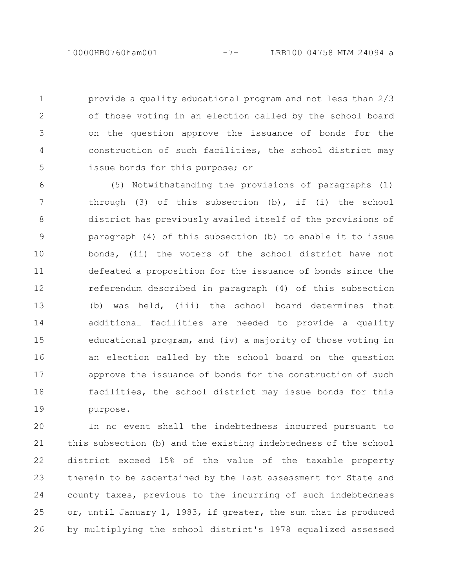provide a quality educational program and not less than 2/3

1

2

3

4

5

of those voting in an election called by the school board on the question approve the issuance of bonds for the construction of such facilities, the school district may issue bonds for this purpose; or

(5) Notwithstanding the provisions of paragraphs (1) through (3) of this subsection (b), if (i) the school district has previously availed itself of the provisions of paragraph (4) of this subsection (b) to enable it to issue bonds, (ii) the voters of the school district have not defeated a proposition for the issuance of bonds since the referendum described in paragraph (4) of this subsection (b) was held, (iii) the school board determines that additional facilities are needed to provide a quality educational program, and (iv) a majority of those voting in an election called by the school board on the question approve the issuance of bonds for the construction of such facilities, the school district may issue bonds for this purpose. 6 7 8 9 10 11 12 13 14 15 16 17 18 19

In no event shall the indebtedness incurred pursuant to this subsection (b) and the existing indebtedness of the school district exceed 15% of the value of the taxable property therein to be ascertained by the last assessment for State and county taxes, previous to the incurring of such indebtedness or, until January 1, 1983, if greater, the sum that is produced by multiplying the school district's 1978 equalized assessed 20 21 22 23 24 25 26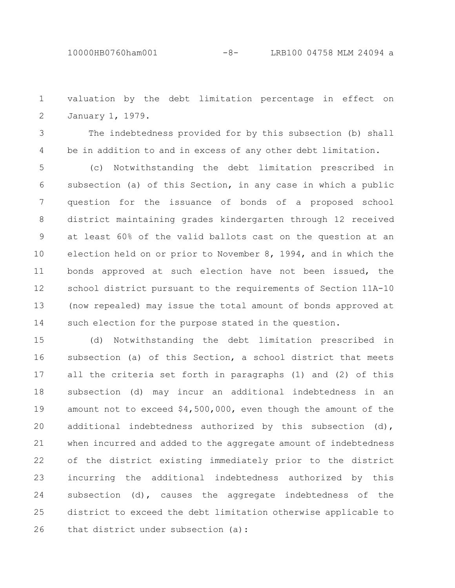valuation by the debt limitation percentage in effect on January 1, 1979. 1 2

The indebtedness provided for by this subsection (b) shall be in addition to and in excess of any other debt limitation. 3 4

(c) Notwithstanding the debt limitation prescribed in subsection (a) of this Section, in any case in which a public question for the issuance of bonds of a proposed school district maintaining grades kindergarten through 12 received at least 60% of the valid ballots cast on the question at an election held on or prior to November 8, 1994, and in which the bonds approved at such election have not been issued, the school district pursuant to the requirements of Section 11A-10 (now repealed) may issue the total amount of bonds approved at such election for the purpose stated in the question. 5 6 7 8 9 10 11 12 13 14

(d) Notwithstanding the debt limitation prescribed in subsection (a) of this Section, a school district that meets all the criteria set forth in paragraphs (1) and (2) of this subsection (d) may incur an additional indebtedness in an amount not to exceed \$4,500,000, even though the amount of the additional indebtedness authorized by this subsection (d), when incurred and added to the aggregate amount of indebtedness of the district existing immediately prior to the district incurring the additional indebtedness authorized by this subsection (d), causes the aggregate indebtedness of the district to exceed the debt limitation otherwise applicable to that district under subsection (a): 15 16 17 18 19 20 21 22 23 24 25 26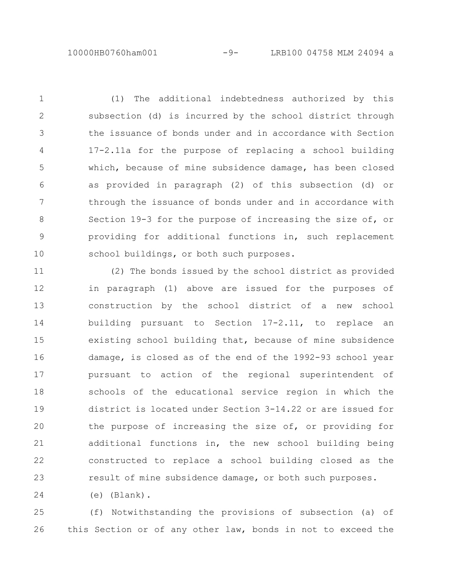(1) The additional indebtedness authorized by this subsection (d) is incurred by the school district through the issuance of bonds under and in accordance with Section 17-2.11a for the purpose of replacing a school building which, because of mine subsidence damage, has been closed as provided in paragraph (2) of this subsection (d) or through the issuance of bonds under and in accordance with Section 19-3 for the purpose of increasing the size of, or providing for additional functions in, such replacement school buildings, or both such purposes. 1 2 3 4 5 6 7 8 9 10

(2) The bonds issued by the school district as provided in paragraph (1) above are issued for the purposes of construction by the school district of a new school building pursuant to Section 17-2.11, to replace an existing school building that, because of mine subsidence damage, is closed as of the end of the 1992-93 school year pursuant to action of the regional superintendent of schools of the educational service region in which the district is located under Section 3-14.22 or are issued for the purpose of increasing the size of, or providing for additional functions in, the new school building being constructed to replace a school building closed as the result of mine subsidence damage, or both such purposes. 11 12 13 14 15 16 17 18 19 20 21 22 23

(e) (Blank). 24

(f) Notwithstanding the provisions of subsection (a) of this Section or of any other law, bonds in not to exceed the 25 26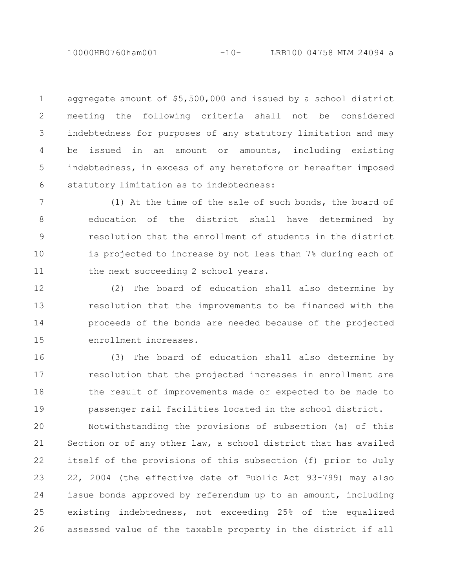10000HB0760ham001 -10- LRB100 04758 MLM 24094 a

aggregate amount of \$5,500,000 and issued by a school district meeting the following criteria shall not be considered indebtedness for purposes of any statutory limitation and may be issued in an amount or amounts, including existing indebtedness, in excess of any heretofore or hereafter imposed statutory limitation as to indebtedness: 1 2 3 4 5 6

(1) At the time of the sale of such bonds, the board of education of the district shall have determined by resolution that the enrollment of students in the district is projected to increase by not less than 7% during each of the next succeeding 2 school years. 7 8 9 10 11

(2) The board of education shall also determine by resolution that the improvements to be financed with the proceeds of the bonds are needed because of the projected enrollment increases. 12 13 14 15

(3) The board of education shall also determine by resolution that the projected increases in enrollment are the result of improvements made or expected to be made to passenger rail facilities located in the school district. 16 17 18 19

Notwithstanding the provisions of subsection (a) of this Section or of any other law, a school district that has availed itself of the provisions of this subsection (f) prior to July 22, 2004 (the effective date of Public Act 93-799) may also issue bonds approved by referendum up to an amount, including existing indebtedness, not exceeding 25% of the equalized assessed value of the taxable property in the district if all 20 21 22 23 24 25 26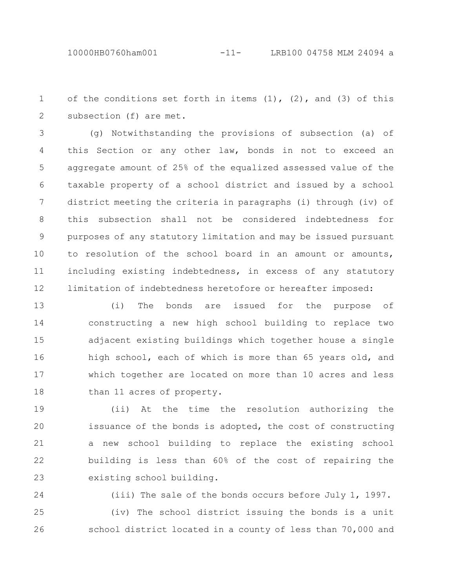of the conditions set forth in items  $(1)$ ,  $(2)$ , and  $(3)$  of this subsection (f) are met. 1 2

(g) Notwithstanding the provisions of subsection (a) of this Section or any other law, bonds in not to exceed an aggregate amount of 25% of the equalized assessed value of the taxable property of a school district and issued by a school district meeting the criteria in paragraphs (i) through (iv) of this subsection shall not be considered indebtedness for purposes of any statutory limitation and may be issued pursuant to resolution of the school board in an amount or amounts, including existing indebtedness, in excess of any statutory limitation of indebtedness heretofore or hereafter imposed: 3 4 5 6 7 8 9 10 11 12

(i) The bonds are issued for the purpose of constructing a new high school building to replace two adjacent existing buildings which together house a single high school, each of which is more than 65 years old, and which together are located on more than 10 acres and less than 11 acres of property. 13 14 15 16 17 18

(ii) At the time the resolution authorizing the issuance of the bonds is adopted, the cost of constructing a new school building to replace the existing school building is less than 60% of the cost of repairing the existing school building. 19 20 21 22 23

(iii) The sale of the bonds occurs before July 1, 1997. (iv) The school district issuing the bonds is a unit school district located in a county of less than 70,000 and 24 25 26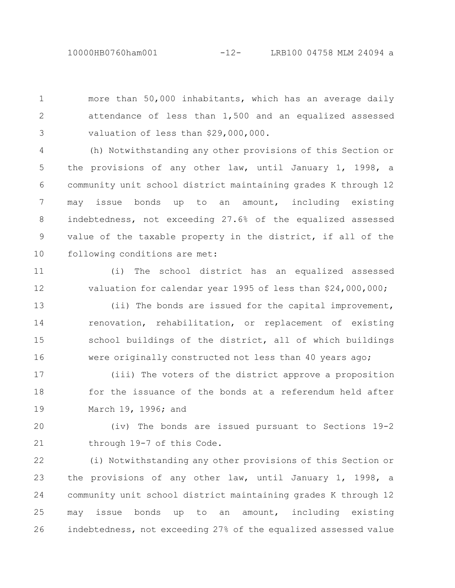more than 50,000 inhabitants, which has an average daily attendance of less than 1,500 and an equalized assessed valuation of less than \$29,000,000. 1 2 3

(h) Notwithstanding any other provisions of this Section or the provisions of any other law, until January 1, 1998, a community unit school district maintaining grades K through 12 may issue bonds up to an amount, including existing indebtedness, not exceeding 27.6% of the equalized assessed value of the taxable property in the district, if all of the following conditions are met: 4 5 6 7 8 9 10

(i) The school district has an equalized assessed valuation for calendar year 1995 of less than \$24,000,000; 11 12

(ii) The bonds are issued for the capital improvement, renovation, rehabilitation, or replacement of existing school buildings of the district, all of which buildings were originally constructed not less than 40 years ago; 13 14 15 16

(iii) The voters of the district approve a proposition for the issuance of the bonds at a referendum held after March 19, 1996; and 17 18 19

(iv) The bonds are issued pursuant to Sections 19-2 through 19-7 of this Code. 20 21

(i) Notwithstanding any other provisions of this Section or the provisions of any other law, until January 1, 1998, a community unit school district maintaining grades K through 12 may issue bonds up to an amount, including existing indebtedness, not exceeding 27% of the equalized assessed value 22 23 24 25 26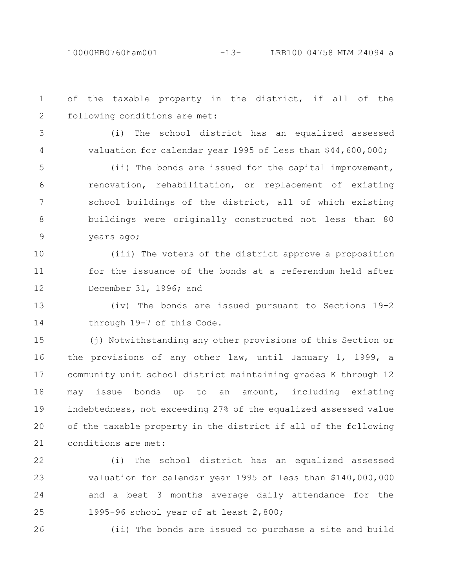of the taxable property in the district, if all of the following conditions are met: 1 2

3

4

(i) The school district has an equalized assessed valuation for calendar year 1995 of less than \$44,600,000;

(ii) The bonds are issued for the capital improvement, renovation, rehabilitation, or replacement of existing school buildings of the district, all of which existing buildings were originally constructed not less than 80 years ago; 5 6 7 8 9

(iii) The voters of the district approve a proposition for the issuance of the bonds at a referendum held after December 31, 1996; and 10 11 12

(iv) The bonds are issued pursuant to Sections 19-2 through 19-7 of this Code. 13 14

(j) Notwithstanding any other provisions of this Section or the provisions of any other law, until January 1, 1999, a community unit school district maintaining grades K through 12 may issue bonds up to an amount, including existing indebtedness, not exceeding 27% of the equalized assessed value of the taxable property in the district if all of the following conditions are met: 15 16 17 18 19 20 21

(i) The school district has an equalized assessed valuation for calendar year 1995 of less than \$140,000,000 and a best 3 months average daily attendance for the 1995-96 school year of at least 2,800; 22 23 24 25

26

(ii) The bonds are issued to purchase a site and build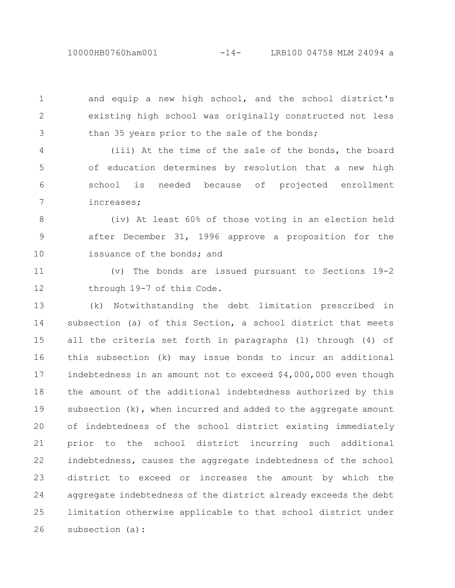10000HB0760ham001 -14- LRB100 04758 MLM 24094 a

and equip a new high school, and the school district's existing high school was originally constructed not less than 35 years prior to the sale of the bonds;

1

2

3

(iii) At the time of the sale of the bonds, the board of education determines by resolution that a new high school is needed because of projected enrollment increases; 4 5 6 7

(iv) At least 60% of those voting in an election held after December 31, 1996 approve a proposition for the issuance of the bonds; and 8 9 10

(v) The bonds are issued pursuant to Sections 19-2 through 19-7 of this Code. 11 12

(k) Notwithstanding the debt limitation prescribed in subsection (a) of this Section, a school district that meets all the criteria set forth in paragraphs (1) through (4) of this subsection (k) may issue bonds to incur an additional indebtedness in an amount not to exceed \$4,000,000 even though the amount of the additional indebtedness authorized by this subsection (k), when incurred and added to the aggregate amount of indebtedness of the school district existing immediately prior to the school district incurring such additional indebtedness, causes the aggregate indebtedness of the school district to exceed or increases the amount by which the aggregate indebtedness of the district already exceeds the debt limitation otherwise applicable to that school district under subsection (a): 13 14 15 16 17 18 19 20 21 22 23 24 25 26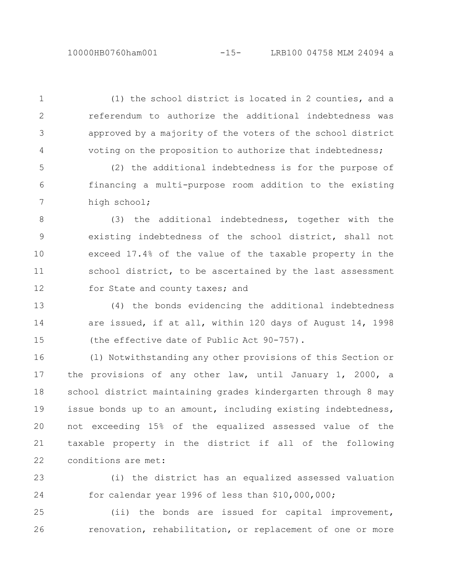(1) the school district is located in 2 counties, and a referendum to authorize the additional indebtedness was approved by a majority of the voters of the school district voting on the proposition to authorize that indebtedness; 1 2

3

4

(2) the additional indebtedness is for the purpose of financing a multi-purpose room addition to the existing high school; 5 6 7

(3) the additional indebtedness, together with the existing indebtedness of the school district, shall not exceed 17.4% of the value of the taxable property in the school district, to be ascertained by the last assessment for State and county taxes; and 8 9 10 11 12

(4) the bonds evidencing the additional indebtedness are issued, if at all, within 120 days of August 14, 1998 (the effective date of Public Act 90-757). 13 14 15

(l) Notwithstanding any other provisions of this Section or the provisions of any other law, until January 1, 2000, a school district maintaining grades kindergarten through 8 may issue bonds up to an amount, including existing indebtedness, not exceeding 15% of the equalized assessed value of the taxable property in the district if all of the following conditions are met: 16 17 18 19 20 21 22

(i) the district has an equalized assessed valuation for calendar year 1996 of less than \$10,000,000; 23 24

(ii) the bonds are issued for capital improvement, renovation, rehabilitation, or replacement of one or more 25 26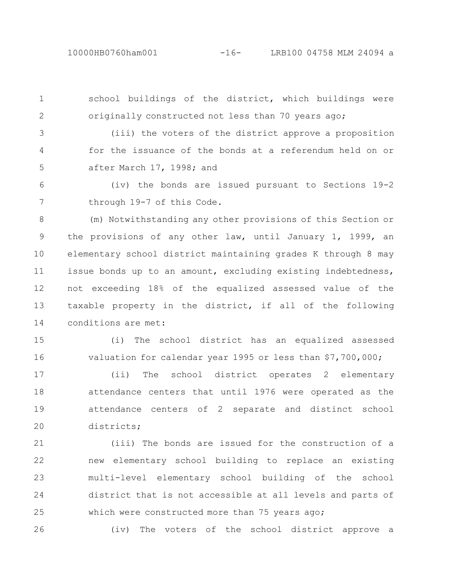1

2

26

school buildings of the district, which buildings were originally constructed not less than 70 years ago;

(iii) the voters of the district approve a proposition for the issuance of the bonds at a referendum held on or after March 17, 1998; and 3 4 5

(iv) the bonds are issued pursuant to Sections 19-2 through 19-7 of this Code. 6 7

(m) Notwithstanding any other provisions of this Section or the provisions of any other law, until January 1, 1999, an elementary school district maintaining grades K through 8 may issue bonds up to an amount, excluding existing indebtedness, not exceeding 18% of the equalized assessed value of the taxable property in the district, if all of the following conditions are met: 8 9 10 11 12 13 14

(i) The school district has an equalized assessed valuation for calendar year 1995 or less than \$7,700,000; 15 16

(ii) The school district operates 2 elementary attendance centers that until 1976 were operated as the attendance centers of 2 separate and distinct school districts; 17 18 19 20

(iii) The bonds are issued for the construction of a new elementary school building to replace an existing multi-level elementary school building of the school district that is not accessible at all levels and parts of which were constructed more than 75 years ago; 21 22 23 24 25

(iv) The voters of the school district approve a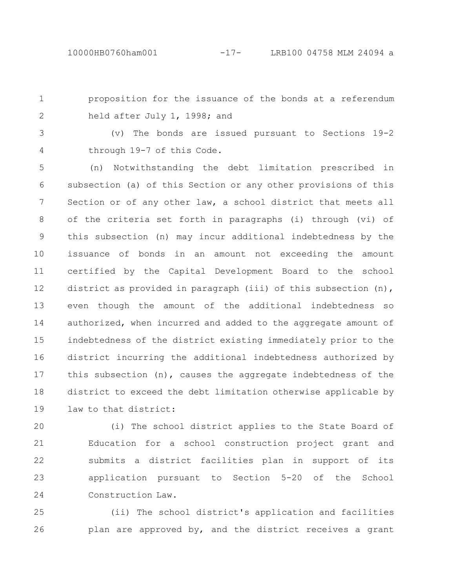proposition for the issuance of the bonds at a referendum held after July 1, 1998; and 1 2

(v) The bonds are issued pursuant to Sections 19-2 through 19-7 of this Code. 3 4

(n) Notwithstanding the debt limitation prescribed in subsection (a) of this Section or any other provisions of this Section or of any other law, a school district that meets all of the criteria set forth in paragraphs (i) through (vi) of this subsection (n) may incur additional indebtedness by the issuance of bonds in an amount not exceeding the amount certified by the Capital Development Board to the school district as provided in paragraph (iii) of this subsection (n), even though the amount of the additional indebtedness so authorized, when incurred and added to the aggregate amount of indebtedness of the district existing immediately prior to the district incurring the additional indebtedness authorized by this subsection (n), causes the aggregate indebtedness of the district to exceed the debt limitation otherwise applicable by law to that district: 5 6 7 8 9 10 11 12 13 14 15 16 17 18 19

(i) The school district applies to the State Board of Education for a school construction project grant and submits a district facilities plan in support of its application pursuant to Section 5-20 of the School Construction Law. 20 21 22 23 24

(ii) The school district's application and facilities plan are approved by, and the district receives a grant 25 26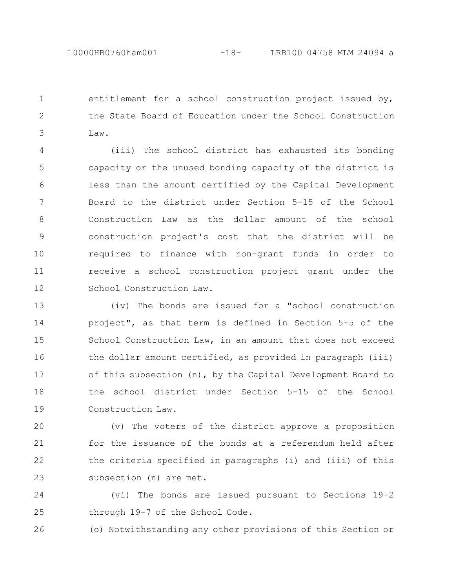entitlement for a school construction project issued by, the State Board of Education under the School Construction Law. 1 2 3

(iii) The school district has exhausted its bonding capacity or the unused bonding capacity of the district is less than the amount certified by the Capital Development Board to the district under Section 5-15 of the School Construction Law as the dollar amount of the school construction project's cost that the district will be required to finance with non-grant funds in order to receive a school construction project grant under the School Construction Law. 4 5 6 7 8 9 10 11 12

(iv) The bonds are issued for a "school construction project", as that term is defined in Section 5-5 of the School Construction Law, in an amount that does not exceed the dollar amount certified, as provided in paragraph (iii) of this subsection (n), by the Capital Development Board to the school district under Section 5-15 of the School Construction Law. 13 14 15 16 17 18 19

(v) The voters of the district approve a proposition for the issuance of the bonds at a referendum held after the criteria specified in paragraphs (i) and (iii) of this subsection (n) are met. 20 21 22 23

(vi) The bonds are issued pursuant to Sections 19-2 through 19-7 of the School Code. 24 25

(o) Notwithstanding any other provisions of this Section or 26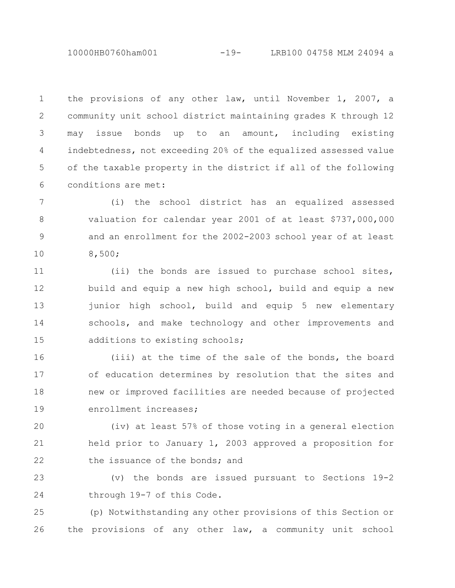10000HB0760ham001 -19- LRB100 04758 MLM 24094 a

the provisions of any other law, until November 1, 2007, a community unit school district maintaining grades K through 12 may issue bonds up to an amount, including existing indebtedness, not exceeding 20% of the equalized assessed value of the taxable property in the district if all of the following conditions are met: 1 2 3 4 5 6

(i) the school district has an equalized assessed valuation for calendar year 2001 of at least \$737,000,000 and an enrollment for the 2002-2003 school year of at least 8,500; 7 8 9 10

(ii) the bonds are issued to purchase school sites, build and equip a new high school, build and equip a new junior high school, build and equip 5 new elementary schools, and make technology and other improvements and additions to existing schools; 11 12 13 14 15

(iii) at the time of the sale of the bonds, the board of education determines by resolution that the sites and new or improved facilities are needed because of projected enrollment increases; 16 17 18 19

(iv) at least 57% of those voting in a general election held prior to January 1, 2003 approved a proposition for the issuance of the bonds; and 20 21 22

(v) the bonds are issued pursuant to Sections 19-2 through 19-7 of this Code. 23 24

(p) Notwithstanding any other provisions of this Section or the provisions of any other law, a community unit school 25 26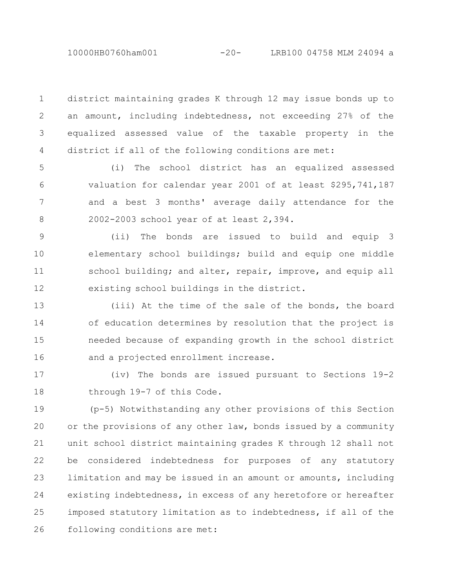district maintaining grades K through 12 may issue bonds up to an amount, including indebtedness, not exceeding 27% of the equalized assessed value of the taxable property in the district if all of the following conditions are met: 1 2 3 4

(i) The school district has an equalized assessed valuation for calendar year 2001 of at least \$295,741,187 and a best 3 months' average daily attendance for the 2002-2003 school year of at least 2,394. 5 6 7 8

(ii) The bonds are issued to build and equip 3 elementary school buildings; build and equip one middle school building; and alter, repair, improve, and equip all existing school buildings in the district. 9 10 11 12

(iii) At the time of the sale of the bonds, the board of education determines by resolution that the project is needed because of expanding growth in the school district and a projected enrollment increase. 13 14 15 16

(iv) The bonds are issued pursuant to Sections 19-2 through 19-7 of this Code. 17 18

(p-5) Notwithstanding any other provisions of this Section or the provisions of any other law, bonds issued by a community unit school district maintaining grades K through 12 shall not be considered indebtedness for purposes of any statutory limitation and may be issued in an amount or amounts, including existing indebtedness, in excess of any heretofore or hereafter imposed statutory limitation as to indebtedness, if all of the following conditions are met: 19 20 21 22 23 24 25 26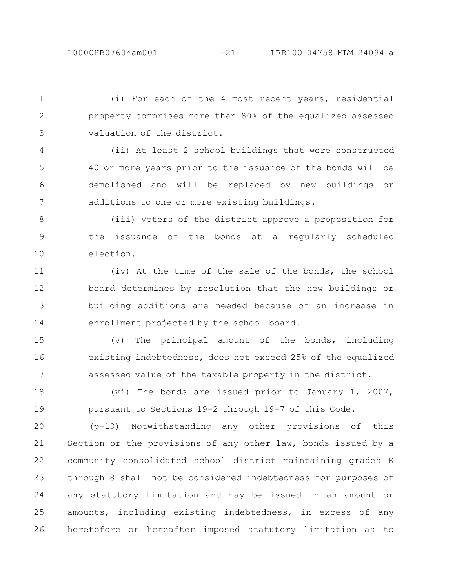(i) For each of the 4 most recent years, residential property comprises more than 80% of the equalized assessed valuation of the district. 1 2 3

(ii) At least 2 school buildings that were constructed 40 or more years prior to the issuance of the bonds will be demolished and will be replaced by new buildings or additions to one or more existing buildings. 4 5 6 7

(iii) Voters of the district approve a proposition for the issuance of the bonds at a regularly scheduled election. 8 9 10

(iv) At the time of the sale of the bonds, the school board determines by resolution that the new buildings or building additions are needed because of an increase in enrollment projected by the school board. 11 12 13 14

(v) The principal amount of the bonds, including existing indebtedness, does not exceed 25% of the equalized assessed value of the taxable property in the district. 15 16 17

(vi) The bonds are issued prior to January 1, 2007, pursuant to Sections 19-2 through 19-7 of this Code. 18 19

(p-10) Notwithstanding any other provisions of this Section or the provisions of any other law, bonds issued by a community consolidated school district maintaining grades K through 8 shall not be considered indebtedness for purposes of any statutory limitation and may be issued in an amount or amounts, including existing indebtedness, in excess of any heretofore or hereafter imposed statutory limitation as to 20 21 22 23 24 25 26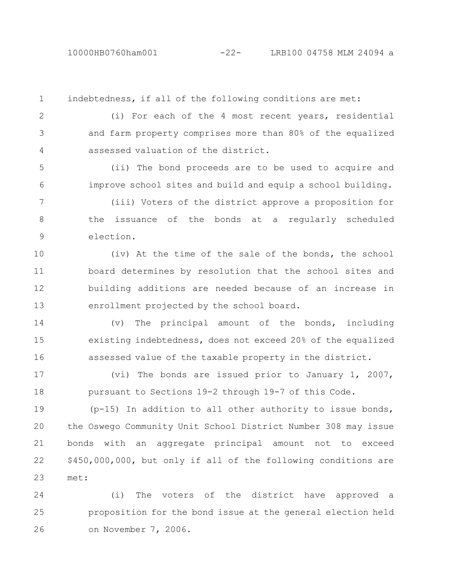10000HB0760ham001 -22- LRB100 04758 MLM 24094 a

indebtedness, if all of the following conditions are met:

1

2

4

(i) For each of the 4 most recent years, residential and farm property comprises more than 80% of the equalized assessed valuation of the district. 3

(ii) The bond proceeds are to be used to acquire and improve school sites and build and equip a school building. 5 6

(iii) Voters of the district approve a proposition for the issuance of the bonds at a regularly scheduled election. 7 8 9

(iv) At the time of the sale of the bonds, the school board determines by resolution that the school sites and building additions are needed because of an increase in enrollment projected by the school board. 10 11 12 13

(v) The principal amount of the bonds, including existing indebtedness, does not exceed 20% of the equalized assessed value of the taxable property in the district. 14 15 16

(vi) The bonds are issued prior to January 1, 2007, pursuant to Sections 19-2 through 19-7 of this Code. 17 18

(p-15) In addition to all other authority to issue bonds, the Oswego Community Unit School District Number 308 may issue bonds with an aggregate principal amount not to exceed \$450,000,000, but only if all of the following conditions are met: 19 20 21 22 23

(i) The voters of the district have approved a proposition for the bond issue at the general election held on November 7, 2006. 24 25 26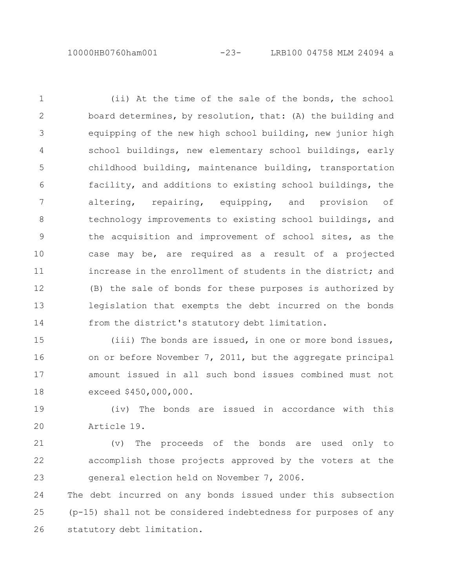10000HB0760ham001 -23- LRB100 04758 MLM 24094 a

(ii) At the time of the sale of the bonds, the school board determines, by resolution, that: (A) the building and equipping of the new high school building, new junior high school buildings, new elementary school buildings, early childhood building, maintenance building, transportation facility, and additions to existing school buildings, the altering, repairing, equipping, and provision of technology improvements to existing school buildings, and the acquisition and improvement of school sites, as the case may be, are required as a result of a projected increase in the enrollment of students in the district; and (B) the sale of bonds for these purposes is authorized by legislation that exempts the debt incurred on the bonds from the district's statutory debt limitation. 1 2 3 4 5 6 7 8 9 10 11 12 13 14

(iii) The bonds are issued, in one or more bond issues, on or before November 7, 2011, but the aggregate principal amount issued in all such bond issues combined must not exceed \$450,000,000. 15 16 17 18

(iv) The bonds are issued in accordance with this Article 19. 19 20

(v) The proceeds of the bonds are used only to accomplish those projects approved by the voters at the general election held on November 7, 2006. 21 22 23

The debt incurred on any bonds issued under this subsection (p-15) shall not be considered indebtedness for purposes of any statutory debt limitation. 24 25 26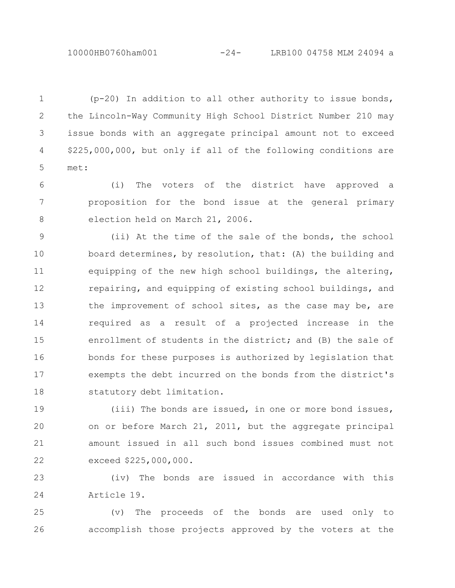10000HB0760ham001 -24- LRB100 04758 MLM 24094 a

(p-20) In addition to all other authority to issue bonds, the Lincoln-Way Community High School District Number 210 may issue bonds with an aggregate principal amount not to exceed \$225,000,000, but only if all of the following conditions are met: 1 2 3 4 5

(i) The voters of the district have approved a proposition for the bond issue at the general primary election held on March 21, 2006. 6 7 8

(ii) At the time of the sale of the bonds, the school board determines, by resolution, that: (A) the building and equipping of the new high school buildings, the altering, repairing, and equipping of existing school buildings, and the improvement of school sites, as the case may be, are required as a result of a projected increase in the enrollment of students in the district; and (B) the sale of bonds for these purposes is authorized by legislation that exempts the debt incurred on the bonds from the district's statutory debt limitation. 9 10 11 12 13 14 15 16 17 18

(iii) The bonds are issued, in one or more bond issues, on or before March 21, 2011, but the aggregate principal amount issued in all such bond issues combined must not exceed \$225,000,000. 19 20 21 22

(iv) The bonds are issued in accordance with this Article 19. 23 24

(v) The proceeds of the bonds are used only to accomplish those projects approved by the voters at the 25 26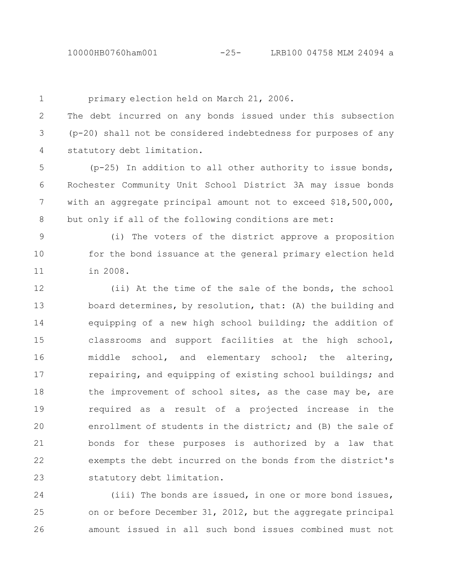10000HB0760ham001 -25- LRB100 04758 MLM 24094 a

1

primary election held on March 21, 2006.

The debt incurred on any bonds issued under this subsection (p-20) shall not be considered indebtedness for purposes of any statutory debt limitation. 2 3 4

(p-25) In addition to all other authority to issue bonds, Rochester Community Unit School District 3A may issue bonds with an aggregate principal amount not to exceed \$18,500,000, but only if all of the following conditions are met: 5 6 7 8

(i) The voters of the district approve a proposition for the bond issuance at the general primary election held in 2008. 9 10 11

(ii) At the time of the sale of the bonds, the school board determines, by resolution, that: (A) the building and equipping of a new high school building; the addition of classrooms and support facilities at the high school, middle school, and elementary school; the altering, repairing, and equipping of existing school buildings; and the improvement of school sites, as the case may be, are required as a result of a projected increase in the enrollment of students in the district; and (B) the sale of bonds for these purposes is authorized by a law that exempts the debt incurred on the bonds from the district's statutory debt limitation. 12 13 14 15 16 17 18 19 20 21 22 23

(iii) The bonds are issued, in one or more bond issues, on or before December 31, 2012, but the aggregate principal amount issued in all such bond issues combined must not 24 25 26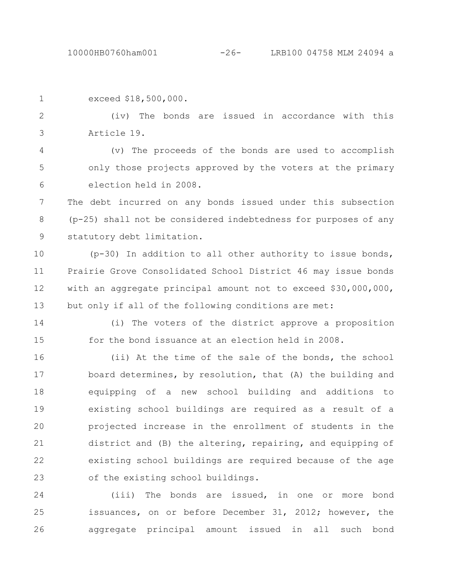| $\mathbf{1}$   | exceed \$18,500,000.                                            |
|----------------|-----------------------------------------------------------------|
| 2              | (iv) The bonds are issued in accordance with this               |
| $\mathcal{S}$  | Article 19.                                                     |
| $\overline{4}$ | (v) The proceeds of the bonds are used to accomplish            |
| 5              | only those projects approved by the voters at the primary       |
| 6              | election held in 2008.                                          |
| 7              | The debt incurred on any bonds issued under this subsection     |
| 8              | (p-25) shall not be considered indebtedness for purposes of any |
| 9              | statutory debt limitation.                                      |

(p-30) In addition to all other authority to issue bonds, Prairie Grove Consolidated School District 46 may issue bonds with an aggregate principal amount not to exceed \$30,000,000, but only if all of the following conditions are met: 10 11 12 13

14

(i) The voters of the district approve a proposition for the bond issuance at an election held in 2008. 15

(ii) At the time of the sale of the bonds, the school board determines, by resolution, that (A) the building and equipping of a new school building and additions to existing school buildings are required as a result of a projected increase in the enrollment of students in the district and (B) the altering, repairing, and equipping of existing school buildings are required because of the age of the existing school buildings. 16 17 18 19 20 21 22 23

(iii) The bonds are issued, in one or more bond issuances, on or before December 31, 2012; however, the aggregate principal amount issued in all such bond 24 25 26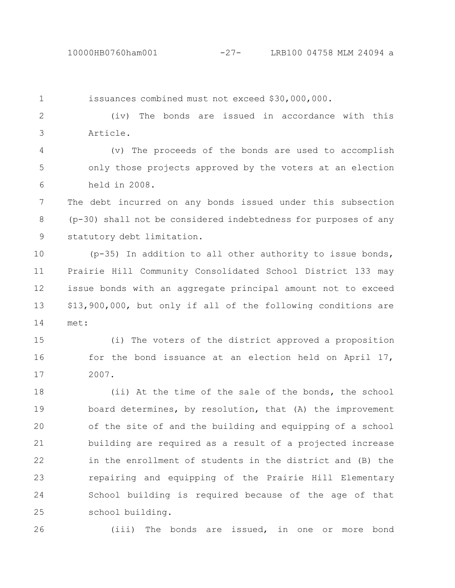issuances combined must not exceed \$30,000,000. (iv) The bonds are issued in accordance with this Article. (v) The proceeds of the bonds are used to accomplish only those projects approved by the voters at an election held in 2008. The debt incurred on any bonds issued under this subsection (p-30) shall not be considered indebtedness for purposes of any statutory debt limitation. (p-35) In addition to all other authority to issue bonds, Prairie Hill Community Consolidated School District 133 may issue bonds with an aggregate principal amount not to exceed \$13,900,000, but only if all of the following conditions are met: (i) The voters of the district approved a proposition for the bond issuance at an election held on April 17, 2007. (ii) At the time of the sale of the bonds, the school board determines, by resolution, that (A) the improvement of the site of and the building and equipping of a school building are required as a result of a projected increase in the enrollment of students in the district and (B) the repairing and equipping of the Prairie Hill Elementary School building is required because of the age of that school building. (iii) The bonds are issued, in one or more bond 1 2 3 4 5 6 7 8 9 10 11 12 13 14 15 16 17 18 19 20 21 22 23 24 25 26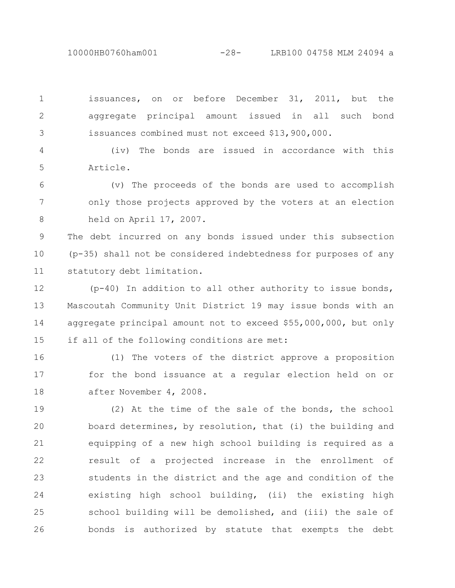10000HB0760ham001 -28- LRB100 04758 MLM 24094 a

issuances, on or before December 31, 2011, but the aggregate principal amount issued in all such bond issuances combined must not exceed \$13,900,000. 1 2 3

(iv) The bonds are issued in accordance with this Article. 4 5

(v) The proceeds of the bonds are used to accomplish only those projects approved by the voters at an election held on April 17, 2007. 6 7 8

The debt incurred on any bonds issued under this subsection (p-35) shall not be considered indebtedness for purposes of any statutory debt limitation. 9 10 11

(p-40) In addition to all other authority to issue bonds, Mascoutah Community Unit District 19 may issue bonds with an aggregate principal amount not to exceed \$55,000,000, but only if all of the following conditions are met: 12 13 14 15

(1) The voters of the district approve a proposition for the bond issuance at a regular election held on or after November 4, 2008. 16 17 18

(2) At the time of the sale of the bonds, the school board determines, by resolution, that (i) the building and equipping of a new high school building is required as a result of a projected increase in the enrollment of students in the district and the age and condition of the existing high school building, (ii) the existing high school building will be demolished, and (iii) the sale of bonds is authorized by statute that exempts the debt 19 20 21 22 23 24 25 26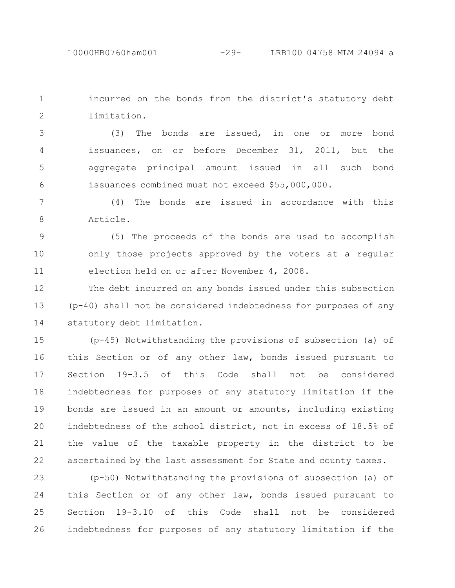incurred on the bonds from the district's statutory debt limitation. 1 2

(3) The bonds are issued, in one or more bond issuances, on or before December 31, 2011, but the aggregate principal amount issued in all such bond issuances combined must not exceed \$55,000,000. 3 4 5 6

(4) The bonds are issued in accordance with this Article. 7 8

(5) The proceeds of the bonds are used to accomplish only those projects approved by the voters at a regular election held on or after November 4, 2008. 9 10 11

The debt incurred on any bonds issued under this subsection (p-40) shall not be considered indebtedness for purposes of any statutory debt limitation. 12 13 14

(p-45) Notwithstanding the provisions of subsection (a) of this Section or of any other law, bonds issued pursuant to Section 19-3.5 of this Code shall not be considered indebtedness for purposes of any statutory limitation if the bonds are issued in an amount or amounts, including existing indebtedness of the school district, not in excess of 18.5% of the value of the taxable property in the district to be ascertained by the last assessment for State and county taxes. 15 16 17 18 19 20 21 22

(p-50) Notwithstanding the provisions of subsection (a) of this Section or of any other law, bonds issued pursuant to Section 19-3.10 of this Code shall not be considered indebtedness for purposes of any statutory limitation if the 23 24 25 26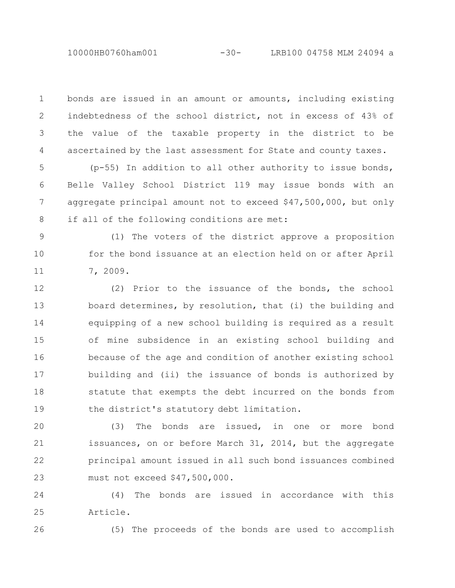bonds are issued in an amount or amounts, including existing indebtedness of the school district, not in excess of 43% of the value of the taxable property in the district to be ascertained by the last assessment for State and county taxes. 1 2 3 4

(p-55) In addition to all other authority to issue bonds, Belle Valley School District 119 may issue bonds with an aggregate principal amount not to exceed \$47,500,000, but only if all of the following conditions are met: 5 6 7 8

(1) The voters of the district approve a proposition for the bond issuance at an election held on or after April 7, 2009. 9 10 11

(2) Prior to the issuance of the bonds, the school board determines, by resolution, that (i) the building and equipping of a new school building is required as a result of mine subsidence in an existing school building and because of the age and condition of another existing school building and (ii) the issuance of bonds is authorized by statute that exempts the debt incurred on the bonds from the district's statutory debt limitation. 12 13 14 15 16 17 18 19

(3) The bonds are issued, in one or more bond issuances, on or before March 31, 2014, but the aggregate principal amount issued in all such bond issuances combined must not exceed \$47,500,000. 20 21 22 23

(4) The bonds are issued in accordance with this Article. 24 25

26

(5) The proceeds of the bonds are used to accomplish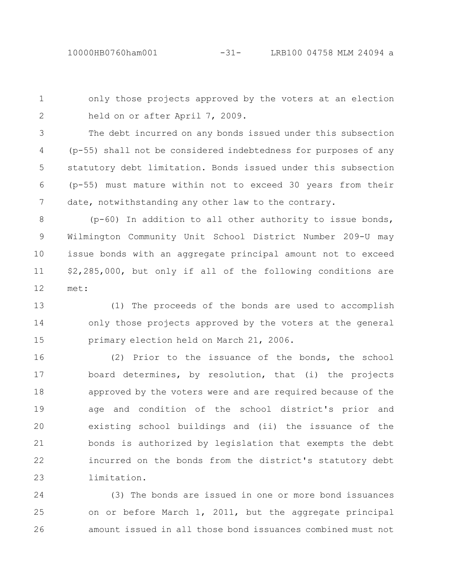only those projects approved by the voters at an election held on or after April 7, 2009. 1 2

The debt incurred on any bonds issued under this subsection (p-55) shall not be considered indebtedness for purposes of any statutory debt limitation. Bonds issued under this subsection (p-55) must mature within not to exceed 30 years from their date, notwithstanding any other law to the contrary. 3 4 5 6 7

(p-60) In addition to all other authority to issue bonds, Wilmington Community Unit School District Number 209-U may issue bonds with an aggregate principal amount not to exceed \$2,285,000, but only if all of the following conditions are met: 8 9 10 11 12

(1) The proceeds of the bonds are used to accomplish only those projects approved by the voters at the general primary election held on March 21, 2006. 13 14 15

(2) Prior to the issuance of the bonds, the school board determines, by resolution, that (i) the projects approved by the voters were and are required because of the age and condition of the school district's prior and existing school buildings and (ii) the issuance of the bonds is authorized by legislation that exempts the debt incurred on the bonds from the district's statutory debt limitation. 16 17 18 19 20 21 22 23

(3) The bonds are issued in one or more bond issuances on or before March 1, 2011, but the aggregate principal amount issued in all those bond issuances combined must not 24 25 26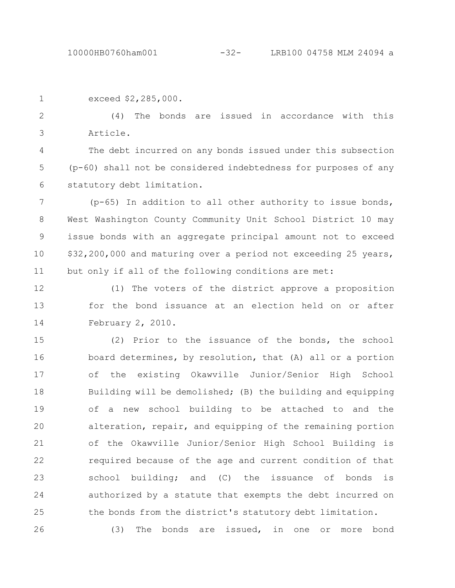| exceed \$2,285,000. |  |  |  |  |  |                                                  |  |  |  |  |  |
|---------------------|--|--|--|--|--|--------------------------------------------------|--|--|--|--|--|
|                     |  |  |  |  |  | (4) The bonds are issued in accordance with this |  |  |  |  |  |

Article.

3

The debt incurred on any bonds issued under this subsection (p-60) shall not be considered indebtedness for purposes of any statutory debt limitation. 4 5 6

(p-65) In addition to all other authority to issue bonds, West Washington County Community Unit School District 10 may issue bonds with an aggregate principal amount not to exceed \$32,200,000 and maturing over a period not exceeding 25 years, but only if all of the following conditions are met: 7 8 9 10 11

(1) The voters of the district approve a proposition for the bond issuance at an election held on or after February 2, 2010. 12 13 14

(2) Prior to the issuance of the bonds, the school board determines, by resolution, that (A) all or a portion of the existing Okawville Junior/Senior High School Building will be demolished; (B) the building and equipping of a new school building to be attached to and the alteration, repair, and equipping of the remaining portion of the Okawville Junior/Senior High School Building is required because of the age and current condition of that school building; and (C) the issuance of bonds is authorized by a statute that exempts the debt incurred on the bonds from the district's statutory debt limitation. 15 16 17 18 19 20 21 22 23 24 25

(3) The bonds are issued, in one or more bond 26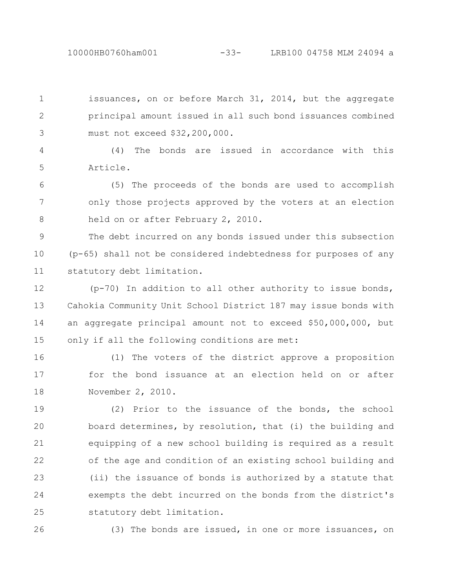10000HB0760ham001 -33- LRB100 04758 MLM 24094 a

issuances, on or before March 31, 2014, but the aggregate principal amount issued in all such bond issuances combined must not exceed \$32,200,000. 1 2 3

(4) The bonds are issued in accordance with this Article. 4 5

(5) The proceeds of the bonds are used to accomplish only those projects approved by the voters at an election held on or after February 2, 2010. 6 7 8

The debt incurred on any bonds issued under this subsection (p-65) shall not be considered indebtedness for purposes of any statutory debt limitation. 9 10 11

(p-70) In addition to all other authority to issue bonds, Cahokia Community Unit School District 187 may issue bonds with an aggregate principal amount not to exceed \$50,000,000, but only if all the following conditions are met: 12 13 14 15

(1) The voters of the district approve a proposition for the bond issuance at an election held on or after November 2, 2010. 16 17 18

(2) Prior to the issuance of the bonds, the school board determines, by resolution, that (i) the building and equipping of a new school building is required as a result of the age and condition of an existing school building and (ii) the issuance of bonds is authorized by a statute that exempts the debt incurred on the bonds from the district's statutory debt limitation. 19 20 21 22 23 24 25

26

(3) The bonds are issued, in one or more issuances, on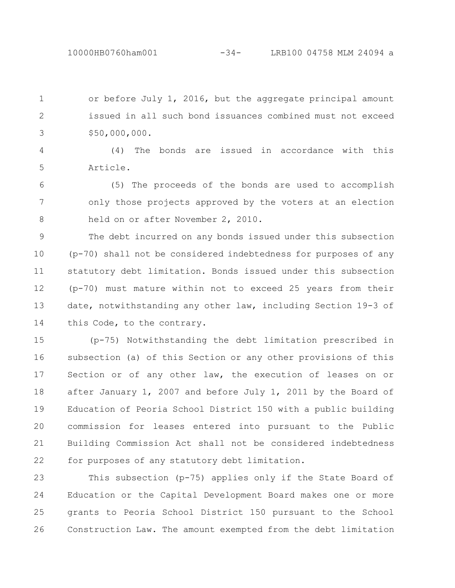or before July 1, 2016, but the aggregate principal amount issued in all such bond issuances combined must not exceed \$50,000,000. 1 2 3

(4) The bonds are issued in accordance with this Article. 4 5

(5) The proceeds of the bonds are used to accomplish only those projects approved by the voters at an election held on or after November 2, 2010. 6 7 8

The debt incurred on any bonds issued under this subsection (p-70) shall not be considered indebtedness for purposes of any statutory debt limitation. Bonds issued under this subsection (p-70) must mature within not to exceed 25 years from their date, notwithstanding any other law, including Section 19-3 of this Code, to the contrary. 9 10 11 12 13 14

(p-75) Notwithstanding the debt limitation prescribed in subsection (a) of this Section or any other provisions of this Section or of any other law, the execution of leases on or after January 1, 2007 and before July 1, 2011 by the Board of Education of Peoria School District 150 with a public building commission for leases entered into pursuant to the Public Building Commission Act shall not be considered indebtedness for purposes of any statutory debt limitation. 15 16 17 18 19 20 21 22

This subsection (p-75) applies only if the State Board of Education or the Capital Development Board makes one or more grants to Peoria School District 150 pursuant to the School Construction Law. The amount exempted from the debt limitation 23 24 25 26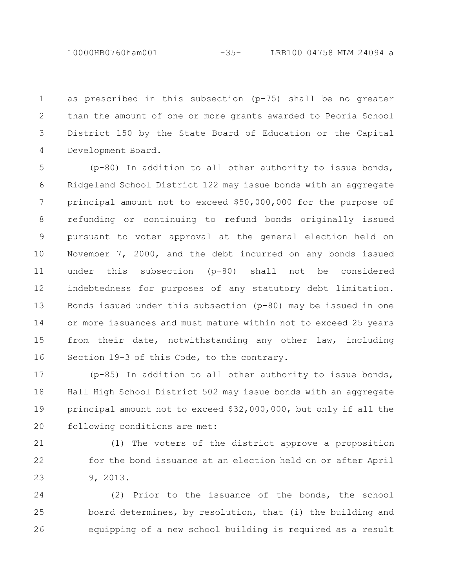10000HB0760ham001 -35- LRB100 04758 MLM 24094 a

as prescribed in this subsection (p-75) shall be no greater than the amount of one or more grants awarded to Peoria School District 150 by the State Board of Education or the Capital Development Board. 1 2 3 4

(p-80) In addition to all other authority to issue bonds, Ridgeland School District 122 may issue bonds with an aggregate principal amount not to exceed \$50,000,000 for the purpose of refunding or continuing to refund bonds originally issued pursuant to voter approval at the general election held on November 7, 2000, and the debt incurred on any bonds issued under this subsection (p-80) shall not be considered indebtedness for purposes of any statutory debt limitation. Bonds issued under this subsection (p-80) may be issued in one or more issuances and must mature within not to exceed 25 years from their date, notwithstanding any other law, including Section 19-3 of this Code, to the contrary. 5 6 7 8 9 10 11 12 13 14 15 16

(p-85) In addition to all other authority to issue bonds, Hall High School District 502 may issue bonds with an aggregate principal amount not to exceed \$32,000,000, but only if all the following conditions are met: 17 18 19 20

21

22

23

(1) The voters of the district approve a proposition for the bond issuance at an election held on or after April 9, 2013.

(2) Prior to the issuance of the bonds, the school board determines, by resolution, that (i) the building and equipping of a new school building is required as a result 24 25 26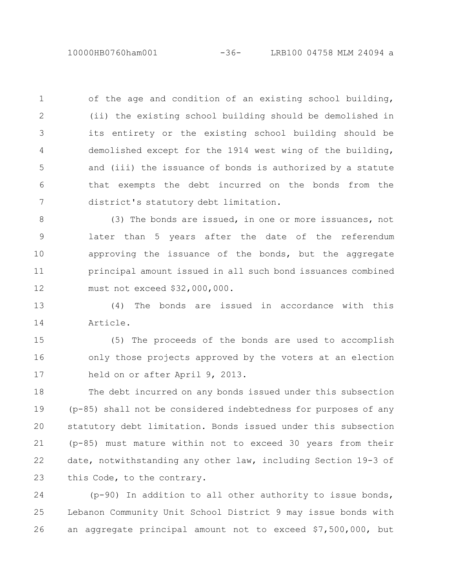of the age and condition of an existing school building, (ii) the existing school building should be demolished in its entirety or the existing school building should be demolished except for the 1914 west wing of the building, and (iii) the issuance of bonds is authorized by a statute that exempts the debt incurred on the bonds from the district's statutory debt limitation. 1 2 3 4 5 6 7

(3) The bonds are issued, in one or more issuances, not later than 5 years after the date of the referendum approving the issuance of the bonds, but the aggregate principal amount issued in all such bond issuances combined must not exceed \$32,000,000. 8 9 10 11 12

(4) The bonds are issued in accordance with this Article. 13 14

(5) The proceeds of the bonds are used to accomplish only those projects approved by the voters at an election held on or after April 9, 2013. 15 16 17

The debt incurred on any bonds issued under this subsection (p-85) shall not be considered indebtedness for purposes of any statutory debt limitation. Bonds issued under this subsection (p-85) must mature within not to exceed 30 years from their date, notwithstanding any other law, including Section 19-3 of this Code, to the contrary. 18 19 20 21 22 23

(p-90) In addition to all other authority to issue bonds, Lebanon Community Unit School District 9 may issue bonds with an aggregate principal amount not to exceed \$7,500,000, but 24 25 26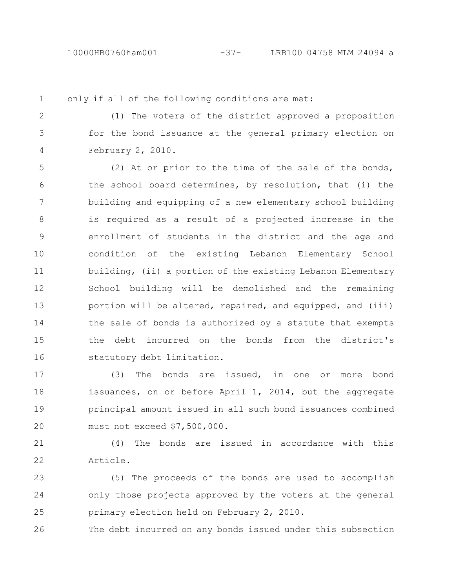1

only if all of the following conditions are met:

2 3

4

(1) The voters of the district approved a proposition for the bond issuance at the general primary election on February 2, 2010.

(2) At or prior to the time of the sale of the bonds, the school board determines, by resolution, that (i) the building and equipping of a new elementary school building is required as a result of a projected increase in the enrollment of students in the district and the age and condition of the existing Lebanon Elementary School building, (ii) a portion of the existing Lebanon Elementary School building will be demolished and the remaining portion will be altered, repaired, and equipped, and (iii) the sale of bonds is authorized by a statute that exempts the debt incurred on the bonds from the district's statutory debt limitation. 5 6 7 8 9 10 11 12 13 14 15 16

(3) The bonds are issued, in one or more bond issuances, on or before April 1, 2014, but the aggregate principal amount issued in all such bond issuances combined must not exceed \$7,500,000. 17 18 19 20

(4) The bonds are issued in accordance with this Article. 21 22

(5) The proceeds of the bonds are used to accomplish only those projects approved by the voters at the general primary election held on February 2, 2010. 23 24 25

The debt incurred on any bonds issued under this subsection 26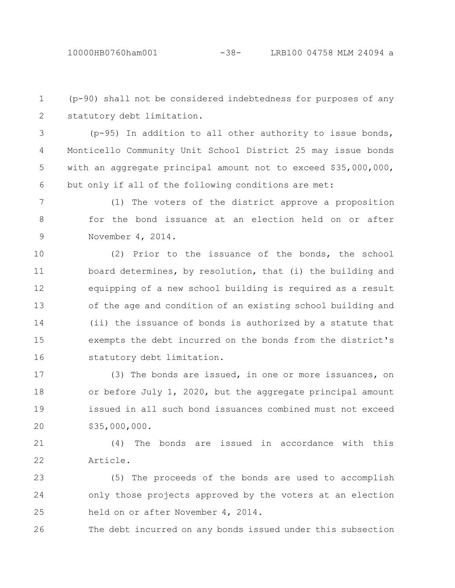(p-90) shall not be considered indebtedness for purposes of any statutory debt limitation. 1 2

3

(p-95) In addition to all other authority to issue bonds, Monticello Community Unit School District 25 may issue bonds with an aggregate principal amount not to exceed \$35,000,000, but only if all of the following conditions are met: 4 5 6

(1) The voters of the district approve a proposition for the bond issuance at an election held on or after November 4, 2014. 7 8 9

(2) Prior to the issuance of the bonds, the school board determines, by resolution, that (i) the building and equipping of a new school building is required as a result of the age and condition of an existing school building and (ii) the issuance of bonds is authorized by a statute that exempts the debt incurred on the bonds from the district's statutory debt limitation. 10 11 12 13 14 15 16

(3) The bonds are issued, in one or more issuances, on or before July 1, 2020, but the aggregate principal amount issued in all such bond issuances combined must not exceed \$35,000,000. 17 18 19 20

(4) The bonds are issued in accordance with this Article. 21 22

(5) The proceeds of the bonds are used to accomplish only those projects approved by the voters at an election held on or after November 4, 2014. 23 24 25

The debt incurred on any bonds issued under this subsection 26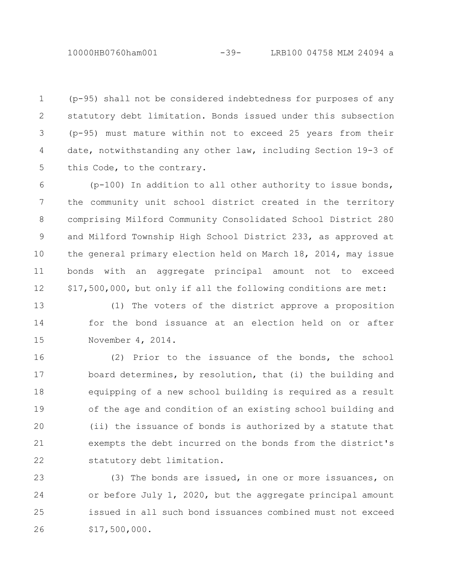10000HB0760ham001 -39- LRB100 04758 MLM 24094 a

(p-95) shall not be considered indebtedness for purposes of any statutory debt limitation. Bonds issued under this subsection (p-95) must mature within not to exceed 25 years from their date, notwithstanding any other law, including Section 19-3 of this Code, to the contrary. 1 2 3 4 5

(p-100) In addition to all other authority to issue bonds, the community unit school district created in the territory comprising Milford Community Consolidated School District 280 and Milford Township High School District 233, as approved at the general primary election held on March 18, 2014, may issue bonds with an aggregate principal amount not to exceed \$17,500,000, but only if all the following conditions are met: 6 7 8 9 10 11 12

(1) The voters of the district approve a proposition for the bond issuance at an election held on or after November 4, 2014. 13 14 15

(2) Prior to the issuance of the bonds, the school board determines, by resolution, that (i) the building and equipping of a new school building is required as a result of the age and condition of an existing school building and (ii) the issuance of bonds is authorized by a statute that exempts the debt incurred on the bonds from the district's statutory debt limitation. 16 17 18 19 20 21 22

(3) The bonds are issued, in one or more issuances, on or before July 1, 2020, but the aggregate principal amount issued in all such bond issuances combined must not exceed \$17,500,000. 23 24 25 26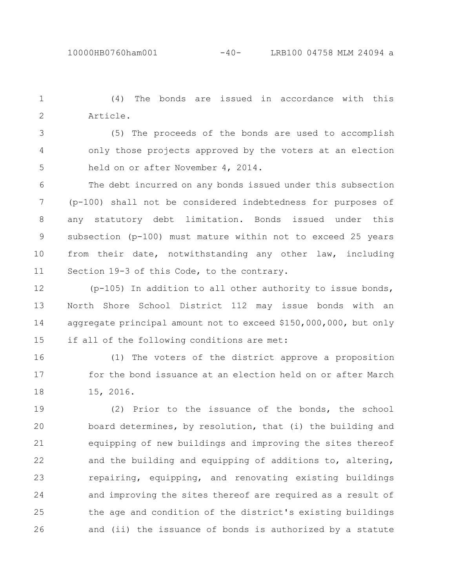(4) The bonds are issued in accordance with this Article. 1 2

(5) The proceeds of the bonds are used to accomplish only those projects approved by the voters at an election held on or after November 4, 2014. 3 4 5

The debt incurred on any bonds issued under this subsection (p-100) shall not be considered indebtedness for purposes of any statutory debt limitation. Bonds issued under this subsection (p-100) must mature within not to exceed 25 years from their date, notwithstanding any other law, including Section 19-3 of this Code, to the contrary. 6 7 8 9 10 11

(p-105) In addition to all other authority to issue bonds, North Shore School District 112 may issue bonds with an aggregate principal amount not to exceed \$150,000,000, but only if all of the following conditions are met: 12 13 14 15

(1) The voters of the district approve a proposition for the bond issuance at an election held on or after March 15, 2016. 16 17 18

(2) Prior to the issuance of the bonds, the school board determines, by resolution, that (i) the building and equipping of new buildings and improving the sites thereof and the building and equipping of additions to, altering, repairing, equipping, and renovating existing buildings and improving the sites thereof are required as a result of the age and condition of the district's existing buildings and (ii) the issuance of bonds is authorized by a statute 19 20 21 22 23 24 25 26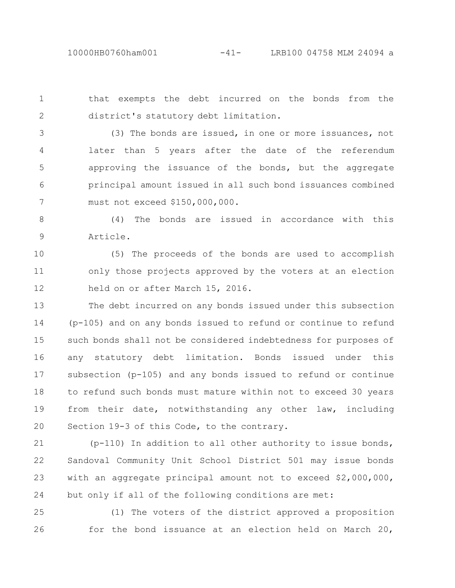that exempts the debt incurred on the bonds from the district's statutory debt limitation. 1 2

3

(3) The bonds are issued, in one or more issuances, not later than 5 years after the date of the referendum approving the issuance of the bonds, but the aggregate principal amount issued in all such bond issuances combined must not exceed \$150,000,000. 4 5 6 7

(4) The bonds are issued in accordance with this Article. 8 9

(5) The proceeds of the bonds are used to accomplish only those projects approved by the voters at an election held on or after March 15, 2016. 10 11 12

The debt incurred on any bonds issued under this subsection (p-105) and on any bonds issued to refund or continue to refund such bonds shall not be considered indebtedness for purposes of any statutory debt limitation. Bonds issued under this subsection (p-105) and any bonds issued to refund or continue to refund such bonds must mature within not to exceed 30 years from their date, notwithstanding any other law, including Section 19-3 of this Code, to the contrary. 13 14 15 16 17 18 19 20

(p-110) In addition to all other authority to issue bonds, Sandoval Community Unit School District 501 may issue bonds with an aggregate principal amount not to exceed \$2,000,000, but only if all of the following conditions are met: 21 22 23 24

(1) The voters of the district approved a proposition for the bond issuance at an election held on March 20, 25 26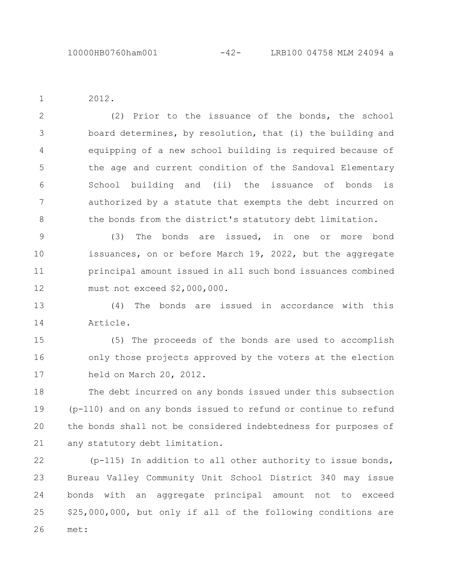2012.

1

(2) Prior to the issuance of the bonds, the school board determines, by resolution, that (i) the building and equipping of a new school building is required because of the age and current condition of the Sandoval Elementary School building and (ii) the issuance of bonds is authorized by a statute that exempts the debt incurred on the bonds from the district's statutory debt limitation. 2 3 4 5 6 7 8

(3) The bonds are issued, in one or more bond issuances, on or before March 19, 2022, but the aggregate principal amount issued in all such bond issuances combined must not exceed \$2,000,000. 9 10 11 12

(4) The bonds are issued in accordance with this Article. 13 14

(5) The proceeds of the bonds are used to accomplish only those projects approved by the voters at the election held on March 20, 2012. 15 16 17

The debt incurred on any bonds issued under this subsection (p-110) and on any bonds issued to refund or continue to refund the bonds shall not be considered indebtedness for purposes of any statutory debt limitation. 18 19 20 21

(p-115) In addition to all other authority to issue bonds, Bureau Valley Community Unit School District 340 may issue bonds with an aggregate principal amount not to exceed \$25,000,000, but only if all of the following conditions are met: 22 23 24 25 26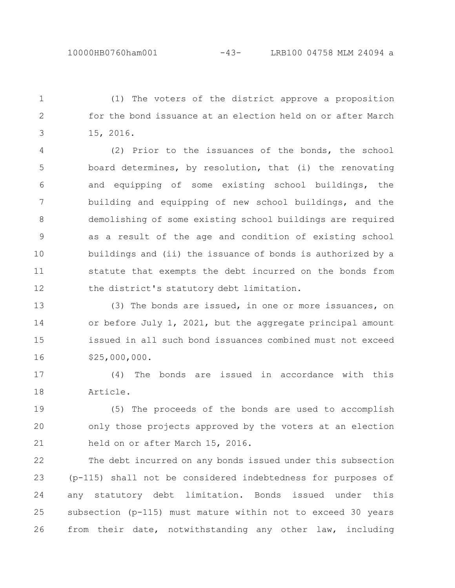(1) The voters of the district approve a proposition for the bond issuance at an election held on or after March 15, 2016. 1 2 3

(2) Prior to the issuances of the bonds, the school board determines, by resolution, that (i) the renovating and equipping of some existing school buildings, the building and equipping of new school buildings, and the demolishing of some existing school buildings are required as a result of the age and condition of existing school buildings and (ii) the issuance of bonds is authorized by a statute that exempts the debt incurred on the bonds from the district's statutory debt limitation. 4 5 6 7 8 9 10 11 12

(3) The bonds are issued, in one or more issuances, on or before July 1, 2021, but the aggregate principal amount issued in all such bond issuances combined must not exceed \$25,000,000. 13 14 15 16

(4) The bonds are issued in accordance with this Article. 17 18

(5) The proceeds of the bonds are used to accomplish only those projects approved by the voters at an election held on or after March 15, 2016. 19 20 21

The debt incurred on any bonds issued under this subsection (p-115) shall not be considered indebtedness for purposes of any statutory debt limitation. Bonds issued under this subsection (p-115) must mature within not to exceed 30 years from their date, notwithstanding any other law, including 22 23 24 25 26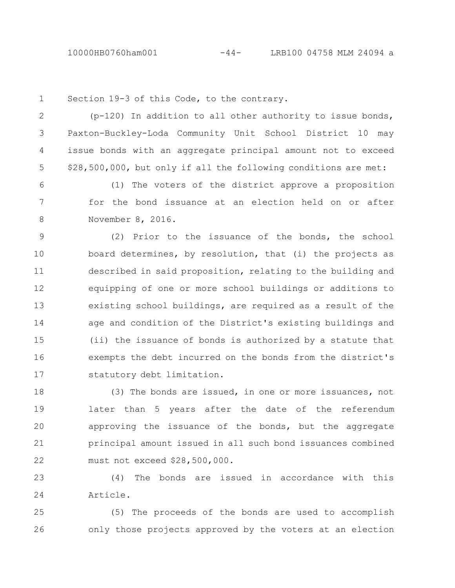Section 19-3 of this Code, to the contrary. (p-120) In addition to all other authority to issue bonds, Paxton-Buckley-Loda Community Unit School District 10 may issue bonds with an aggregate principal amount not to exceed \$28,500,000, but only if all the following conditions are met: (1) The voters of the district approve a proposition for the bond issuance at an election held on or after November 8, 2016. (2) Prior to the issuance of the bonds, the school board determines, by resolution, that (i) the projects as described in said proposition, relating to the building and equipping of one or more school buildings or additions to existing school buildings, are required as a result of the age and condition of the District's existing buildings and (ii) the issuance of bonds is authorized by a statute that exempts the debt incurred on the bonds from the district's statutory debt limitation. (3) The bonds are issued, in one or more issuances, not later than 5 years after the date of the referendum 1 2 3 4 5 6 7 8 9 10 11 12 13 14 15 16 17 18 19

approving the issuance of the bonds, but the aggregate principal amount issued in all such bond issuances combined must not exceed \$28,500,000. 20 21 22

(4) The bonds are issued in accordance with this Article. 23 24

(5) The proceeds of the bonds are used to accomplish only those projects approved by the voters at an election 25 26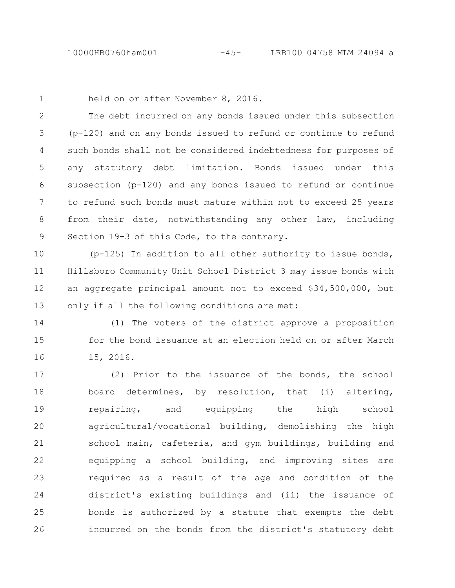1

held on or after November 8, 2016.

The debt incurred on any bonds issued under this subsection (p-120) and on any bonds issued to refund or continue to refund such bonds shall not be considered indebtedness for purposes of any statutory debt limitation. Bonds issued under this subsection (p-120) and any bonds issued to refund or continue to refund such bonds must mature within not to exceed 25 years from their date, notwithstanding any other law, including Section 19-3 of this Code, to the contrary. 2 3 4 5 6 7 8 9

(p-125) In addition to all other authority to issue bonds, Hillsboro Community Unit School District 3 may issue bonds with an aggregate principal amount not to exceed \$34,500,000, but only if all the following conditions are met: 10 11 12 13

(1) The voters of the district approve a proposition for the bond issuance at an election held on or after March 15, 2016. 14 15 16

(2) Prior to the issuance of the bonds, the school board determines, by resolution, that (i) altering, repairing, and equipping the high school agricultural/vocational building, demolishing the high school main, cafeteria, and gym buildings, building and equipping a school building, and improving sites are required as a result of the age and condition of the district's existing buildings and (ii) the issuance of bonds is authorized by a statute that exempts the debt incurred on the bonds from the district's statutory debt 17 18 19 20 21 22 23 24 25 26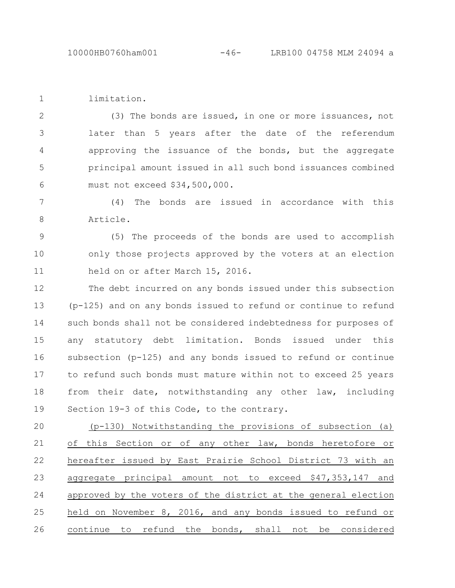limitation. 1

(3) The bonds are issued, in one or more issuances, not later than 5 years after the date of the referendum approving the issuance of the bonds, but the aggregate principal amount issued in all such bond issuances combined must not exceed \$34,500,000. 2 3 4 5 6

(4) The bonds are issued in accordance with this Article. 7 8

(5) The proceeds of the bonds are used to accomplish only those projects approved by the voters at an election held on or after March 15, 2016. 9 10 11

The debt incurred on any bonds issued under this subsection (p-125) and on any bonds issued to refund or continue to refund such bonds shall not be considered indebtedness for purposes of any statutory debt limitation. Bonds issued under this subsection (p-125) and any bonds issued to refund or continue to refund such bonds must mature within not to exceed 25 years from their date, notwithstanding any other law, including Section 19-3 of this Code, to the contrary. 12 13 14 15 16 17 18 19

(p-130) Notwithstanding the provisions of subsection (a) of this Section or of any other law, bonds heretofore or hereafter issued by East Prairie School District 73 with an aggregate principal amount not to exceed \$47,353,147 and approved by the voters of the district at the general election held on November 8, 2016, and any bonds issued to refund or continue to refund the bonds, shall not be considered 20 21 22 23 24 25 26